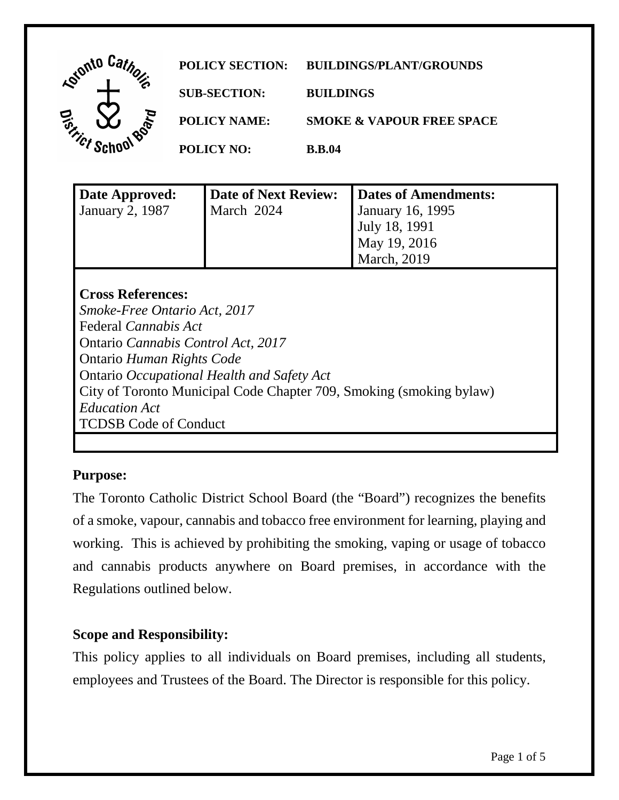

| Date Approved:  | Date of Next Review: | Dates of Amendments:    |
|-----------------|----------------------|-------------------------|
| January 2, 1987 | March 2024           | <b>January 16, 1995</b> |
|                 |                      | <b>July 18, 1991</b>    |
|                 |                      | May 19, 2016            |
|                 |                      | <b>March</b> , 2019     |
|                 |                      |                         |

## **Cross References:**

 Ontario *Occupational Health and Safety Act Smoke-Free Ontario Act, 2017*  Federal *Cannabis Act*  Ontario *Cannabis Control Act, 2017*  Ontario *Human Rights Code*  City of Toronto Municipal Code Chapter 709, Smoking (smoking bylaw) *Education Act*  TCDSB Code of Conduct

# **Purpose:**

 of a smoke, vapour, cannabis and tobacco free environment for learning, playing and and cannabis products anywhere on Board premises, in accordance with the Regulations outlined below. The Toronto Catholic District School Board (the "Board") recognizes the benefits working. This is achieved by prohibiting the smoking, vaping or usage of tobacco

## **Scope and Responsibility:**

 This policy applies to all individuals on Board premises, including all students, employees and Trustees of the Board. The Director is responsible for this policy.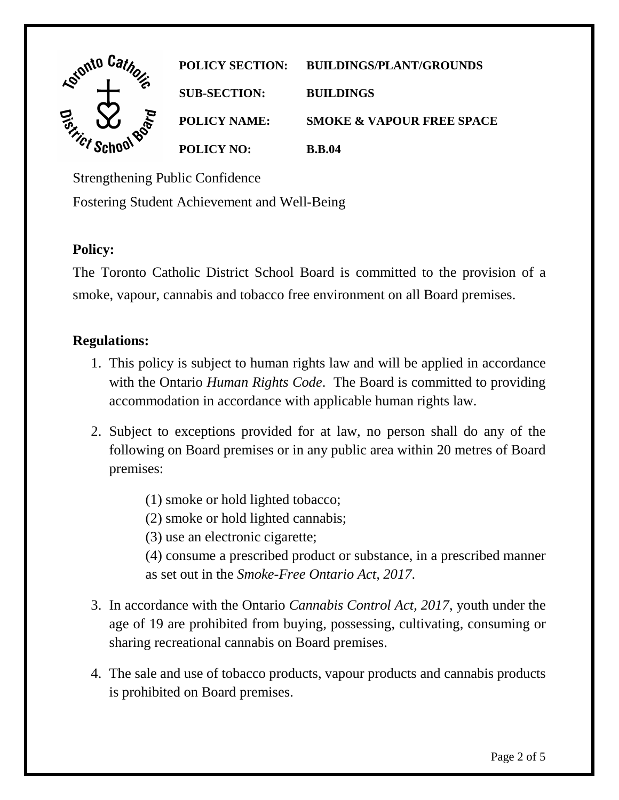

Strengthening Public Confidence

Fostering Student Achievement and Well-Being

## **Policy:**

 The Toronto Catholic District School Board is committed to the provision of a smoke, vapour, cannabis and tobacco free environment on all Board premises.

## **Regulations:**

- with the Ontario *Human Rights Code*. The Board is committed to providing 1. This policy is subject to human rights law and will be applied in accordance accommodation in accordance with applicable human rights law.
- 2. Subject to exceptions provided for at law, no person shall do any of the following on Board premises or in any public area within 20 metres of Board premises:
	- (1) smoke or hold lighted tobacco;
	- (2) smoke or hold lighted cannabis;
	- (3) use an electronic cigarette;
	- (4) consume a prescribed product or substance, in a prescribed manner as set out in the *Smoke-Free Ontario Act, 2017*.
- 3. In accordance with the Ontario *Cannabis Control Act, 2017*, youth under the age of 19 are prohibited from buying, possessing, cultivating, consuming or sharing recreational cannabis on Board premises.
- is prohibited on Board premises. 4. The sale and use of tobacco products, vapour products and cannabis products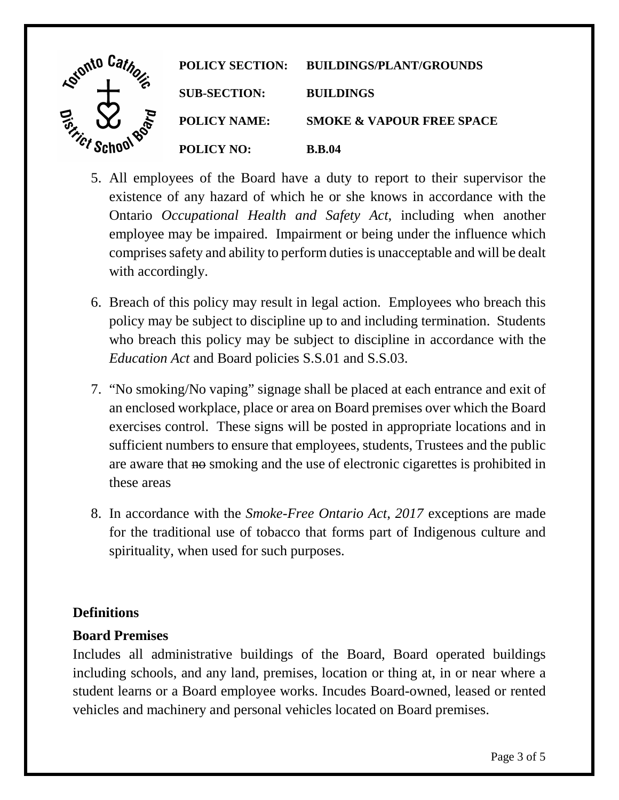

- 5. All employees of the Board have a duty to report to their supervisor the existence of any hazard of which he or she knows in accordance with the Ontario *Occupational Health and Safety Act*, including when another employee may be impaired. Impairment or being under the influence which comprises safety and ability to perform duties is unacceptable and will be dealt with accordingly.
- 6. Breach of this policy may result in legal action. Employees who breach this who breach this policy may be subject to discipline in accordance with the policy may be subject to discipline up to and including termination. Students *Education Act* and Board policies S.S.01 and S.S.03.
- sufficient numbers to ensure that employees, students, Trustees and the public are aware that no smoking and the use of electronic cigarettes is prohibited in 7. "No smoking/No vaping" signage shall be placed at each entrance and exit of an enclosed workplace, place or area on Board premises over which the Board exercises control. These signs will be posted in appropriate locations and in these areas
- 8. In accordance with the *Smoke-Free Ontario Act*, *2017* exceptions are made for the traditional use of tobacco that forms part of Indigenous culture and spirituality, when used for such purposes.

# **Definitions**

#### **Board Premises**

 including schools, and any land, premises, location or thing at, in or near where a Includes all administrative buildings of the Board, Board operated buildings student learns or a Board employee works. Incudes Board-owned, leased or rented vehicles and machinery and personal vehicles located on Board premises.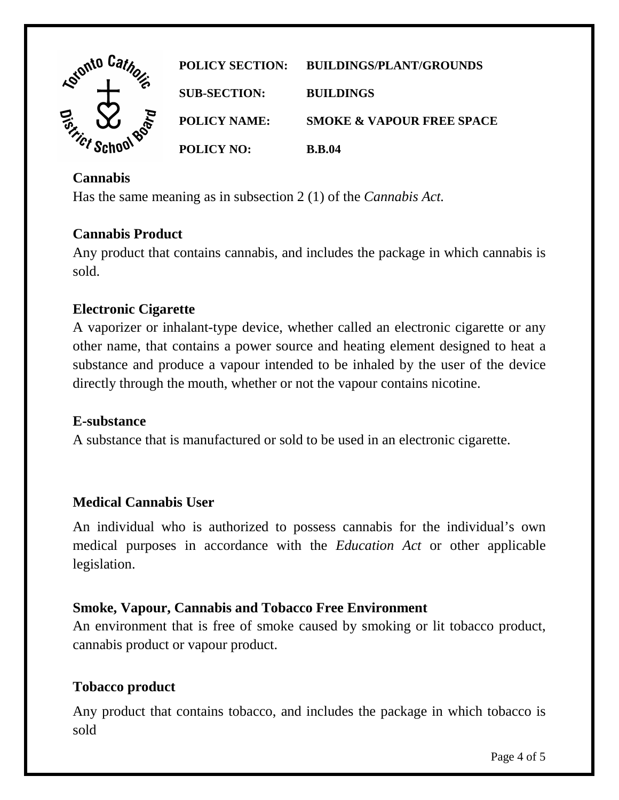

### **Cannabis**

Has the same meaning as in subsection 2 (1) of the *Cannabis Act.* 

#### **Cannabis Product**

Any product that contains cannabis, and includes the package in which cannabis is sold.

#### **Electronic Cigarette**

 A vaporizer or inhalant-type device, whether called an electronic cigarette or any other name, that contains a power source and heating element designed to heat a substance and produce a vapour intended to be inhaled by the user of the device directly through the mouth, whether or not the vapour contains nicotine.

#### **E-substance**

A substance that is manufactured or sold to be used in an electronic cigarette.

#### **Medical Cannabis User**

An individual who is authorized to possess cannabis for the individual's own medical purposes in accordance with the *Education Act* or other applicable legislation.

#### **Smoke, Vapour, Cannabis and Tobacco Free Environment**

An environment that is free of smoke caused by smoking or lit tobacco product, cannabis product or vapour product.

#### **Tobacco product**

 Any product that contains tobacco, and includes the package in which tobacco is sold